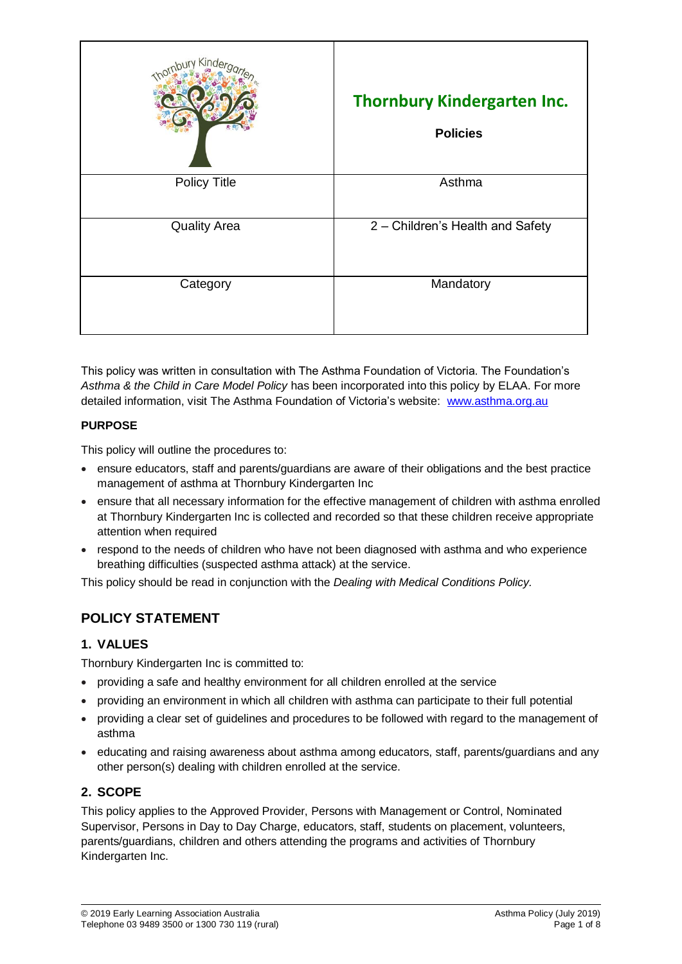| Kinde               | <b>Thornbury Kindergarten Inc.</b><br><b>Policies</b> |
|---------------------|-------------------------------------------------------|
| <b>Policy Title</b> | Asthma                                                |
| <b>Quality Area</b> | 2 - Children's Health and Safety                      |
| Category            | Mandatory                                             |

This policy was written in consultation with The Asthma Foundation of Victoria. The Foundation's *Asthma & the Child in Care Model Policy* has been incorporated into this policy by ELAA. For more detailed information, visit The Asthma Foundation of Victoria's website: [www.asthma.org.au](http://www.asthma.org.au/)

### **PURPOSE**

This policy will outline the procedures to:

- ensure educators, staff and parents/guardians are aware of their obligations and the best practice management of asthma at Thornbury Kindergarten Inc
- ensure that all necessary information for the effective management of children with asthma enrolled at Thornbury Kindergarten Inc is collected and recorded so that these children receive appropriate attention when required
- respond to the needs of children who have not been diagnosed with asthma and who experience breathing difficulties (suspected asthma attack) at the service.

This policy should be read in conjunction with the *Dealing with Medical Conditions Policy.*

# **POLICY STATEMENT**

## **1. VALUES**

Thornbury Kindergarten Inc is committed to:

- providing a safe and healthy environment for all children enrolled at the service
- providing an environment in which all children with asthma can participate to their full potential
- providing a clear set of guidelines and procedures to be followed with regard to the management of asthma
- educating and raising awareness about asthma among educators, staff, parents/guardians and any other person(s) dealing with children enrolled at the service.

## **2. SCOPE**

This policy applies to the Approved Provider, Persons with Management or Control, Nominated Supervisor, Persons in Day to Day Charge, educators, staff, students on placement, volunteers, parents/guardians, children and others attending the programs and activities of Thornbury Kindergarten Inc.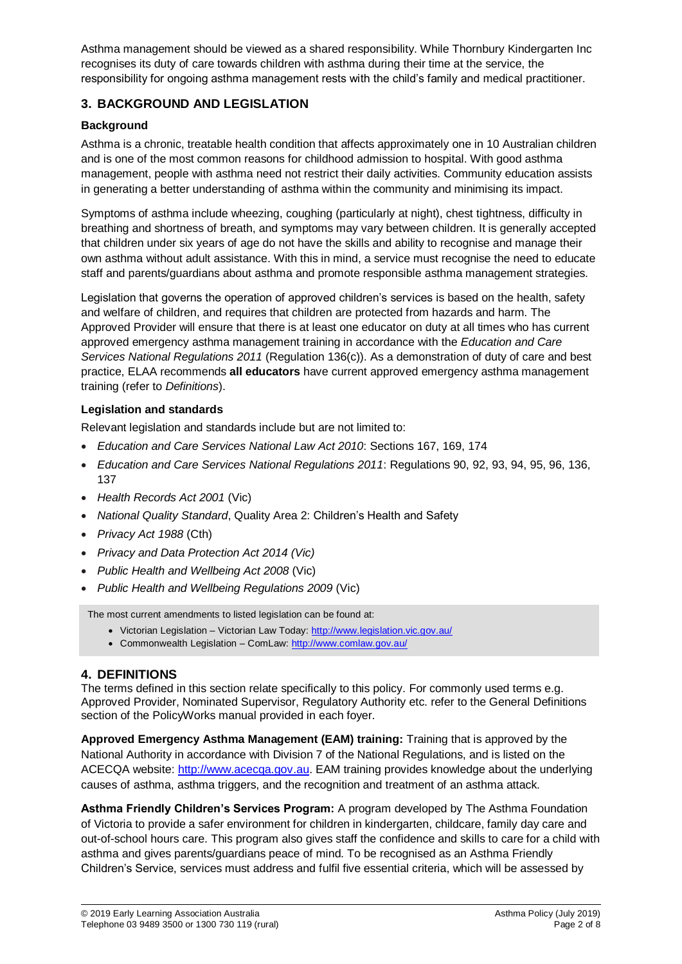Asthma management should be viewed as a shared responsibility. While Thornbury Kindergarten Inc recognises its duty of care towards children with asthma during their time at the service, the responsibility for ongoing asthma management rests with the child's family and medical practitioner.

### **3. BACKGROUND AND LEGISLATION**

### **Background**

Asthma is a chronic, treatable health condition that affects approximately one in 10 Australian children and is one of the most common reasons for childhood admission to hospital. With good asthma management, people with asthma need not restrict their daily activities. Community education assists in generating a better understanding of asthma within the community and minimising its impact.

Symptoms of asthma include wheezing, coughing (particularly at night), chest tightness, difficulty in breathing and shortness of breath, and symptoms may vary between children. It is generally accepted that children under six years of age do not have the skills and ability to recognise and manage their own asthma without adult assistance. With this in mind, a service must recognise the need to educate staff and parents/guardians about asthma and promote responsible asthma management strategies.

Legislation that governs the operation of approved children's services is based on the health, safety and welfare of children, and requires that children are protected from hazards and harm. The Approved Provider will ensure that there is at least one educator on duty at all times who has current approved emergency asthma management training in accordance with the *Education and Care Services National Regulations 2011* (Regulation 136(c)). As a demonstration of duty of care and best practice, ELAA recommends **all educators** have current approved emergency asthma management training (refer to *Definitions*).

### **Legislation and standards**

Relevant legislation and standards include but are not limited to:

- *Education and Care Services National Law Act 2010*: Sections 167, 169, 174
- *Education and Care Services National Regulations 2011*: Regulations 90, 92, 93, 94, 95, 96, 136, 137
- *Health Records Act 2001* (Vic)
- *National Quality Standard*, Quality Area 2: Children's Health and Safety
- *Privacy Act 1988* (Cth)
- *Privacy and Data Protection Act 2014 (Vic)*
- *Public Health and Wellbeing Act 2008* (Vic)
- *Public Health and Wellbeing Regulations 2009* (Vic)

The most current amendments to listed legislation can be found at:

- Victorian Legislation Victorian Law Today:<http://www.legislation.vic.gov.au/>
- Commonwealth Legislation ComLaw[: http://www.comlaw.gov.au/](http://www.comlaw.gov.au/)

### **4. DEFINITIONS**

The terms defined in this section relate specifically to this policy. For commonly used terms e.g. Approved Provider, Nominated Supervisor, Regulatory Authority etc. refer to the General Definitions section of the PolicyWorks manual provided in each foyer.

**Approved Emergency Asthma Management (EAM) training:** Training that is approved by the National Authority in accordance with Division 7 of the National Regulations, and is listed on the ACECQA website: [http://www.acecqa.gov.au.](http://www.acecqa.gov.au/) EAM training provides knowledge about the underlying causes of asthma, asthma triggers, and the recognition and treatment of an asthma attack.

**Asthma Friendly Children's Services Program:** A program developed by The Asthma Foundation of Victoria to provide a safer environment for children in kindergarten, childcare, family day care and out-of-school hours care. This program also gives staff the confidence and skills to care for a child with asthma and gives parents/guardians peace of mind. To be recognised as an Asthma Friendly Children's Service, services must address and fulfil five essential criteria, which will be assessed by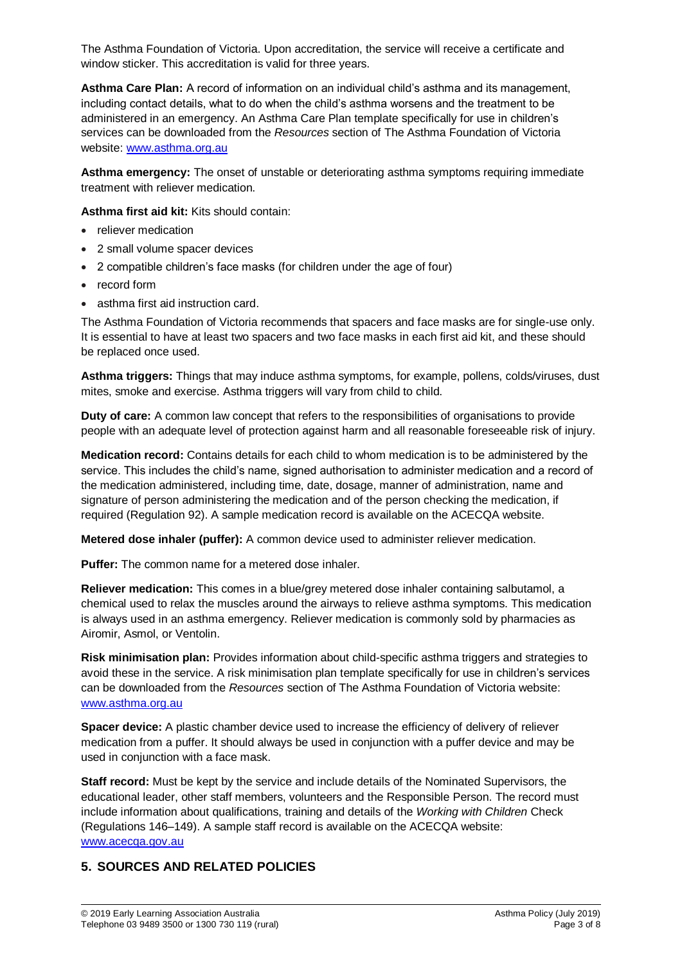The Asthma Foundation of Victoria. Upon accreditation, the service will receive a certificate and window sticker. This accreditation is valid for three years.

**Asthma Care Plan:** A record of information on an individual child's asthma and its management, including contact details, what to do when the child's asthma worsens and the treatment to be administered in an emergency. An Asthma Care Plan template specifically for use in children's services can be downloaded from the *Resources* section of The Asthma Foundation of Victoria website: [www.asthma.org.au](http://www.asthma.org.au/)

**Asthma emergency:** The onset of unstable or deteriorating asthma symptoms requiring immediate treatment with reliever medication.

**Asthma first aid kit:** Kits should contain:

- reliever medication
- 2 small volume spacer devices
- 2 compatible children's face masks (for children under the age of four)
- record form
- asthma first aid instruction card.

The Asthma Foundation of Victoria recommends that spacers and face masks are for single-use only. It is essential to have at least two spacers and two face masks in each first aid kit, and these should be replaced once used.

**Asthma triggers:** Things that may induce asthma symptoms, for example, pollens, colds/viruses, dust mites, smoke and exercise. Asthma triggers will vary from child to child.

**Duty of care:** A common law concept that refers to the responsibilities of organisations to provide people with an adequate level of protection against harm and all reasonable foreseeable risk of injury.

**Medication record:** Contains details for each child to whom medication is to be administered by the service. This includes the child's name, signed authorisation to administer medication and a record of the medication administered, including time, date, dosage, manner of administration, name and signature of person administering the medication and of the person checking the medication, if required (Regulation 92). A sample medication record is available on the ACECQA website.

**Metered dose inhaler (puffer):** A common device used to administer reliever medication.

**Puffer:** The common name for a metered dose inhaler.

**Reliever medication:** This comes in a blue/grey metered dose inhaler containing salbutamol, a chemical used to relax the muscles around the airways to relieve asthma symptoms. This medication is always used in an asthma emergency. Reliever medication is commonly sold by pharmacies as Airomir, Asmol, or Ventolin.

**Risk minimisation plan:** Provides information about child-specific asthma triggers and strategies to avoid these in the service. A risk minimisation plan template specifically for use in children's services can be downloaded from the *Resources* section of The Asthma Foundation of Victoria website: [www.asthma.org.au](http://www.asthma.org.au/)

**Spacer device:** A plastic chamber device used to increase the efficiency of delivery of reliever medication from a puffer. It should always be used in conjunction with a puffer device and may be used in conjunction with a face mask.

**Staff record:** Must be kept by the service and include details of the Nominated Supervisors, the educational leader, other staff members, volunteers and the Responsible Person. The record must include information about qualifications, training and details of the *Working with Children* Check (Regulations 146–149). A sample staff record is available on the ACECQA website: [www.acecqa.gov.au](http://www.acecqa.gov.au/)

### **5. SOURCES AND RELATED POLICIES**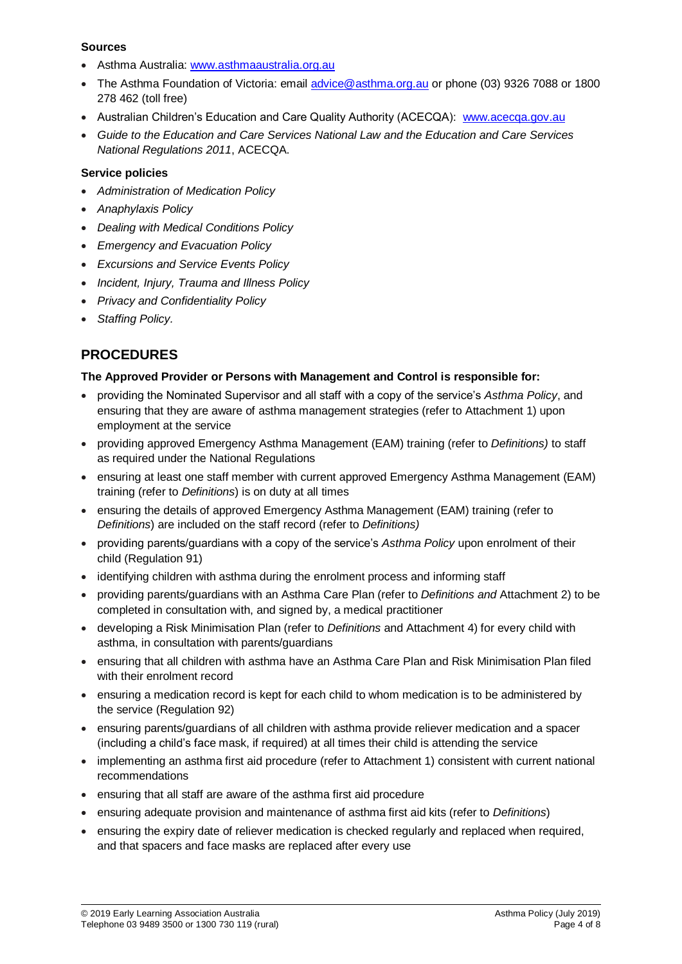#### **Sources**

- Asthma Australia: [www.asthmaaustralia.org.au](http://www.asthmaaustralia.org.au/)
- The Asthma Foundation of Victoria: email [advice@asthma.org.au](mailto:advice@asthma.org.au) or phone (03) 9326 7088 or 1800 278 462 (toll free)
- Australian Children's Education and Care Quality Authority (ACECQA): [www.acecqa.gov.au](http://www.acecqa.gov.au/)
- *Guide to the Education and Care Services National Law and the Education and Care Services National Regulations 2011*, ACECQA.

#### **Service policies**

- *Administration of Medication Policy*
- *Anaphylaxis Policy*
- *Dealing with Medical Conditions Policy*
- *Emergency and Evacuation Policy*
- *Excursions and Service Events Policy*
- *Incident, Injury, Trauma and Illness Policy*
- *Privacy and Confidentiality Policy*
- *Staffing Policy.*

## **PROCEDURES**

#### **The Approved Provider or Persons with Management and Control is responsible for:**

- providing the Nominated Supervisor and all staff with a copy of the service's *Asthma Policy*, and ensuring that they are aware of asthma management strategies (refer to Attachment 1) upon employment at the service
- providing approved Emergency Asthma Management (EAM) training (refer to *Definitions)* to staff as required under the National Regulations
- ensuring at least one staff member with current approved Emergency Asthma Management (EAM) training (refer to *Definitions*) is on duty at all times
- ensuring the details of approved Emergency Asthma Management (EAM) training (refer to *Definitions*) are included on the staff record (refer to *Definitions)*
- providing parents/guardians with a copy of the service's *Asthma Policy* upon enrolment of their child (Regulation 91)
- identifying children with asthma during the enrolment process and informing staff
- providing parents/guardians with an Asthma Care Plan (refer to *Definitions and* Attachment 2) to be completed in consultation with, and signed by, a medical practitioner
- developing a Risk Minimisation Plan (refer to *Definitions* and Attachment 4) for every child with asthma, in consultation with parents/guardians
- ensuring that all children with asthma have an Asthma Care Plan and Risk Minimisation Plan filed with their enrolment record
- ensuring a medication record is kept for each child to whom medication is to be administered by the service (Regulation 92)
- ensuring parents/guardians of all children with asthma provide reliever medication and a spacer (including a child's face mask, if required) at all times their child is attending the service
- implementing an asthma first aid procedure (refer to Attachment 1) consistent with current national recommendations
- ensuring that all staff are aware of the asthma first aid procedure
- ensuring adequate provision and maintenance of asthma first aid kits (refer to *Definitions*)
- ensuring the expiry date of reliever medication is checked regularly and replaced when required, and that spacers and face masks are replaced after every use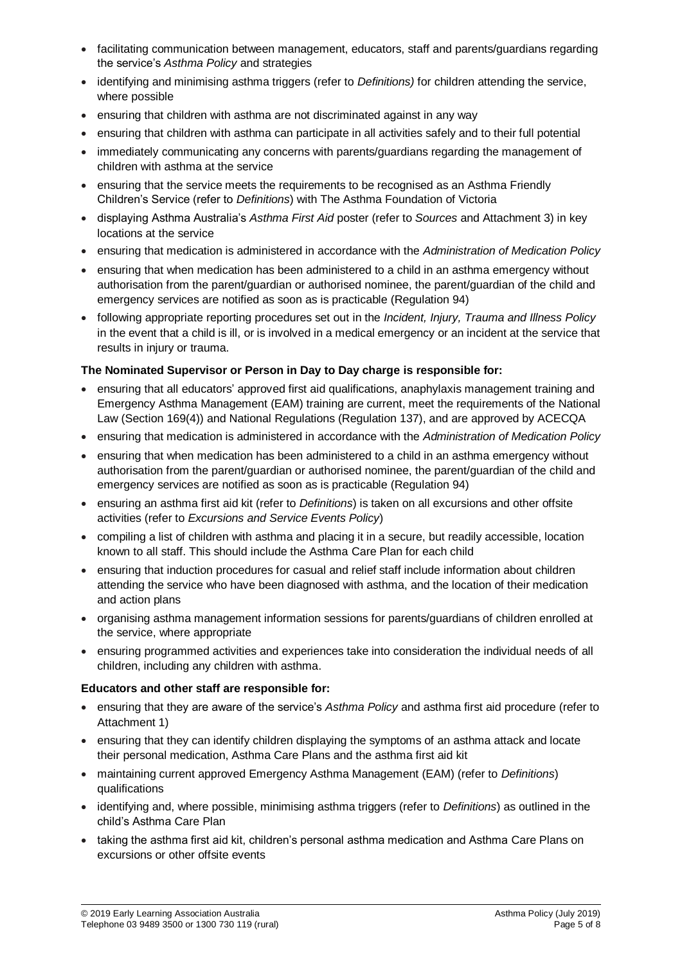- facilitating communication between management, educators, staff and parents/guardians regarding the service's *Asthma Policy* and strategies
- identifying and minimising asthma triggers (refer to *Definitions)* for children attending the service, where possible
- ensuring that children with asthma are not discriminated against in any way
- ensuring that children with asthma can participate in all activities safely and to their full potential
- immediately communicating any concerns with parents/guardians regarding the management of children with asthma at the service
- ensuring that the service meets the requirements to be recognised as an Asthma Friendly Children's Service (refer to *Definitions*) with The Asthma Foundation of Victoria
- displaying Asthma Australia's *Asthma First Aid* poster (refer to *Sources* and Attachment 3) in key locations at the service
- ensuring that medication is administered in accordance with the *Administration of Medication Policy*
- ensuring that when medication has been administered to a child in an asthma emergency without authorisation from the parent/guardian or authorised nominee, the parent/guardian of the child and emergency services are notified as soon as is practicable (Regulation 94)
- following appropriate reporting procedures set out in the *Incident, Injury, Trauma and Illness Policy* in the event that a child is ill, or is involved in a medical emergency or an incident at the service that results in injury or trauma.

### **The Nominated Supervisor or Person in Day to Day charge is responsible for:**

- ensuring that all educators' approved first aid qualifications, anaphylaxis management training and Emergency Asthma Management (EAM) training are current, meet the requirements of the National Law (Section 169(4)) and National Regulations (Regulation 137), and are approved by ACECQA
- ensuring that medication is administered in accordance with the *Administration of Medication Policy*
- ensuring that when medication has been administered to a child in an asthma emergency without authorisation from the parent/guardian or authorised nominee, the parent/guardian of the child and emergency services are notified as soon as is practicable (Regulation 94)
- ensuring an asthma first aid kit (refer to *Definitions*) is taken on all excursions and other offsite activities (refer to *Excursions and Service Events Policy*)
- compiling a list of children with asthma and placing it in a secure, but readily accessible, location known to all staff. This should include the Asthma Care Plan for each child
- ensuring that induction procedures for casual and relief staff include information about children attending the service who have been diagnosed with asthma, and the location of their medication and action plans
- organising asthma management information sessions for parents/guardians of children enrolled at the service, where appropriate
- ensuring programmed activities and experiences take into consideration the individual needs of all children, including any children with asthma.

#### **Educators and other staff are responsible for:**

- ensuring that they are aware of the service's *Asthma Policy* and asthma first aid procedure (refer to Attachment 1)
- ensuring that they can identify children displaying the symptoms of an asthma attack and locate their personal medication, Asthma Care Plans and the asthma first aid kit
- maintaining current approved Emergency Asthma Management (EAM) (refer to *Definitions*) qualifications
- identifying and, where possible, minimising asthma triggers (refer to *Definitions*) as outlined in the child's Asthma Care Plan
- taking the asthma first aid kit, children's personal asthma medication and Asthma Care Plans on excursions or other offsite events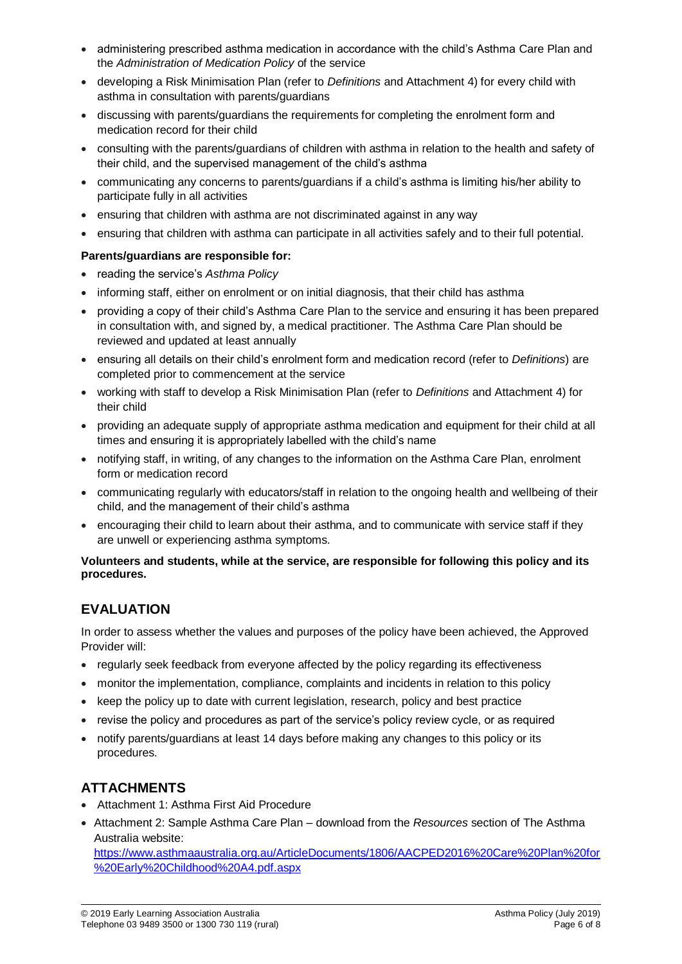- administering prescribed asthma medication in accordance with the child's Asthma Care Plan and the *Administration of Medication Policy* of the service
- developing a Risk Minimisation Plan (refer to *Definitions* and Attachment 4) for every child with asthma in consultation with parents/guardians
- discussing with parents/guardians the requirements for completing the enrolment form and medication record for their child
- consulting with the parents/guardians of children with asthma in relation to the health and safety of their child, and the supervised management of the child's asthma
- communicating any concerns to parents/guardians if a child's asthma is limiting his/her ability to participate fully in all activities
- ensuring that children with asthma are not discriminated against in any way
- ensuring that children with asthma can participate in all activities safely and to their full potential.

#### **Parents/guardians are responsible for:**

- reading the service's *Asthma Policy*
- informing staff, either on enrolment or on initial diagnosis, that their child has asthma
- providing a copy of their child's Asthma Care Plan to the service and ensuring it has been prepared in consultation with, and signed by, a medical practitioner. The Asthma Care Plan should be reviewed and updated at least annually
- ensuring all details on their child's enrolment form and medication record (refer to *Definitions*) are completed prior to commencement at the service
- working with staff to develop a Risk Minimisation Plan (refer to *Definitions* and Attachment 4) for their child
- providing an adequate supply of appropriate asthma medication and equipment for their child at all times and ensuring it is appropriately labelled with the child's name
- notifying staff, in writing, of any changes to the information on the Asthma Care Plan, enrolment form or medication record
- communicating regularly with educators/staff in relation to the ongoing health and wellbeing of their child, and the management of their child's asthma
- encouraging their child to learn about their asthma, and to communicate with service staff if they are unwell or experiencing asthma symptoms.

#### **Volunteers and students, while at the service, are responsible for following this policy and its procedures.**

# **EVALUATION**

In order to assess whether the values and purposes of the policy have been achieved, the Approved Provider will:

- regularly seek feedback from everyone affected by the policy regarding its effectiveness
- monitor the implementation, compliance, complaints and incidents in relation to this policy
- keep the policy up to date with current legislation, research, policy and best practice
- revise the policy and procedures as part of the service's policy review cycle, or as required
- notify parents/guardians at least 14 days before making any changes to this policy or its procedures.

## **ATTACHMENTS**

- Attachment 1: Asthma First Aid Procedure
- Attachment 2: Sample Asthma Care Plan download from the *Resources* section of The Asthma Australia website:

[https://www.asthmaaustralia.org.au/ArticleDocuments/1806/AACPED2016%20Care%20Plan%20for](https://www.asthmaaustralia.org.au/ArticleDocuments/1806/AACPED2016%20Care%20Plan%20for%20Early%20Childhood%20A4.pdf.aspx) [%20Early%20Childhood%20A4.pdf.aspx](https://www.asthmaaustralia.org.au/ArticleDocuments/1806/AACPED2016%20Care%20Plan%20for%20Early%20Childhood%20A4.pdf.aspx)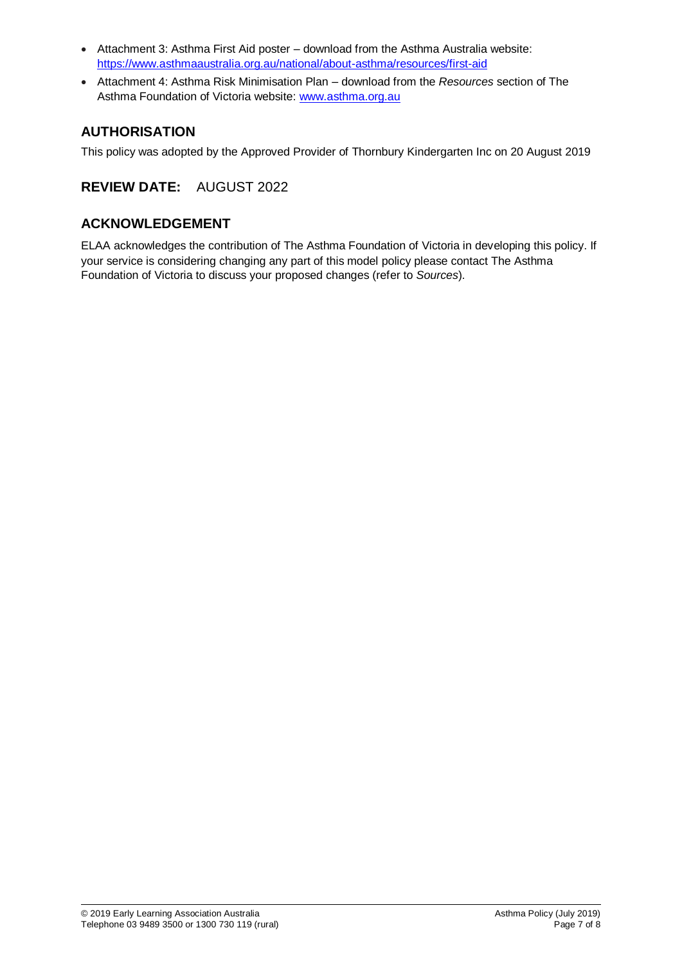- Attachment 3: Asthma First Aid poster download from the Asthma Australia website: <https://www.asthmaaustralia.org.au/national/about-asthma/resources/first-aid>
- Attachment 4: Asthma Risk Minimisation Plan download from the *Resources* section of The Asthma Foundation of Victoria website: [www.asthma.org.au](http://www.asthma.org.au/)

## **AUTHORISATION**

This policy was adopted by the Approved Provider of Thornbury Kindergarten Inc on 20 August 2019

# **REVIEW DATE:** AUGUST 2022

## **ACKNOWLEDGEMENT**

ELAA acknowledges the contribution of The Asthma Foundation of Victoria in developing this policy. If your service is considering changing any part of this model policy please contact The Asthma Foundation of Victoria to discuss your proposed changes (refer to *Sources*).